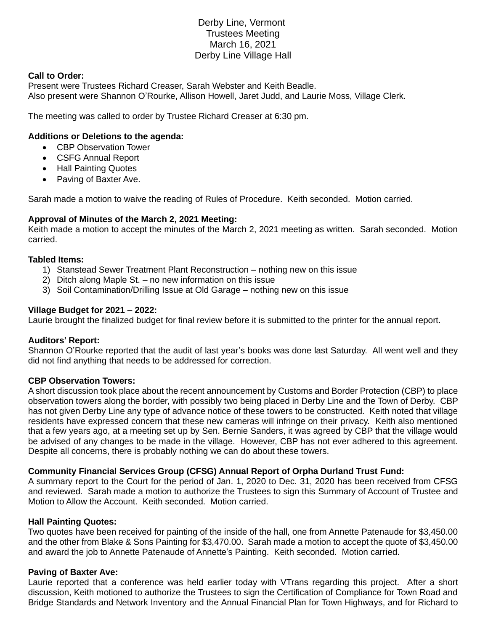# Derby Line, Vermont Trustees Meeting March 16, 2021 Derby Line Village Hall

#### **Call to Order:**

Present were Trustees Richard Creaser, Sarah Webster and Keith Beadle. Also present were Shannon O'Rourke, Allison Howell, Jaret Judd, and Laurie Moss, Village Clerk.

The meeting was called to order by Trustee Richard Creaser at 6:30 pm.

# **Additions or Deletions to the agenda:**

- CBP Observation Tower
- CSFG Annual Report
- Hall Painting Quotes
- Paving of Baxter Ave.

Sarah made a motion to waive the reading of Rules of Procedure. Keith seconded. Motion carried.

# **Approval of Minutes of the March 2, 2021 Meeting:**

Keith made a motion to accept the minutes of the March 2, 2021 meeting as written. Sarah seconded. Motion carried.

# **Tabled Items:**

- 1) Stanstead Sewer Treatment Plant Reconstruction nothing new on this issue
- 2) Ditch along Maple St. no new information on this issue
- 3) Soil Contamination/Drilling Issue at Old Garage nothing new on this issue

# **Village Budget for 2021 – 2022:**

Laurie brought the finalized budget for final review before it is submitted to the printer for the annual report.

# **Auditors' Report:**

Shannon O'Rourke reported that the audit of last year's books was done last Saturday. All went well and they did not find anything that needs to be addressed for correction.

# **CBP Observation Towers:**

A short discussion took place about the recent announcement by Customs and Border Protection (CBP) to place observation towers along the border, with possibly two being placed in Derby Line and the Town of Derby. CBP has not given Derby Line any type of advance notice of these towers to be constructed. Keith noted that village residents have expressed concern that these new cameras will infringe on their privacy. Keith also mentioned that a few years ago, at a meeting set up by Sen. Bernie Sanders, it was agreed by CBP that the village would be advised of any changes to be made in the village. However, CBP has not ever adhered to this agreement. Despite all concerns, there is probably nothing we can do about these towers.

# **Community Financial Services Group (CFSG) Annual Report of Orpha Durland Trust Fund:**

A summary report to the Court for the period of Jan. 1, 2020 to Dec. 31, 2020 has been received from CFSG and reviewed. Sarah made a motion to authorize the Trustees to sign this Summary of Account of Trustee and Motion to Allow the Account. Keith seconded. Motion carried.

# **Hall Painting Quotes:**

Two quotes have been received for painting of the inside of the hall, one from Annette Patenaude for \$3,450.00 and the other from Blake & Sons Painting for \$3,470.00. Sarah made a motion to accept the quote of \$3,450.00 and award the job to Annette Patenaude of Annette's Painting. Keith seconded. Motion carried.

# **Paving of Baxter Ave:**

Laurie reported that a conference was held earlier today with VTrans regarding this project. After a short discussion, Keith motioned to authorize the Trustees to sign the Certification of Compliance for Town Road and Bridge Standards and Network Inventory and the Annual Financial Plan for Town Highways, and for Richard to